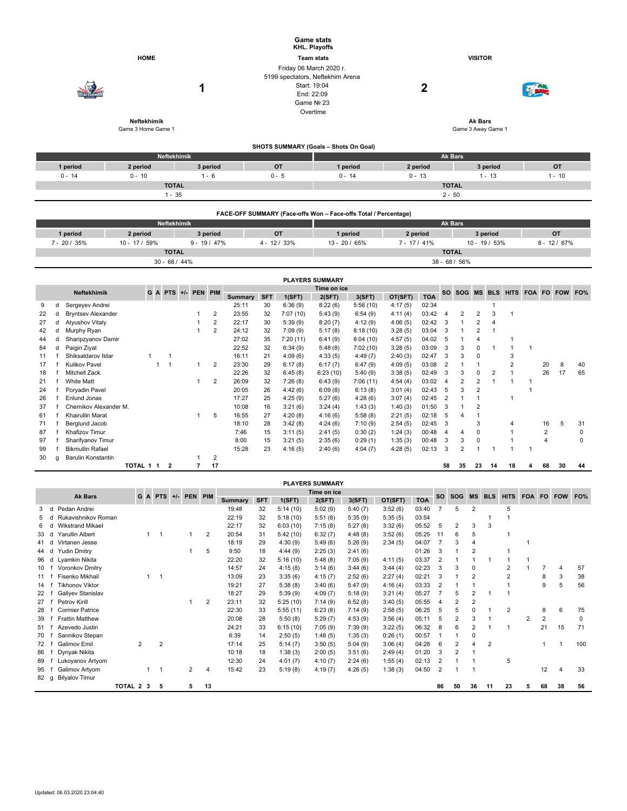|                                                                                |                                   |              |                 |                      |                                  |                |                                                                                                                              |                                                   | <b>Game stats</b><br><b>KHL. Playoffs</b>                       |                    |                     |                |                |                                         |                                  |                     |                |                |                |                     |             |  |  |
|--------------------------------------------------------------------------------|-----------------------------------|--------------|-----------------|----------------------|----------------------------------|----------------|------------------------------------------------------------------------------------------------------------------------------|---------------------------------------------------|-----------------------------------------------------------------|--------------------|---------------------|----------------|----------------|-----------------------------------------|----------------------------------|---------------------|----------------|----------------|----------------|---------------------|-------------|--|--|
| <b>HOME</b>                                                                    |                                   |              | 1               |                      |                                  |                | <b>Team stats</b><br>Friday 06 March 2020 r.<br>5199 spectators, Neftekhim Arena<br>Start: 19:04<br>End: 22:09<br>Game Nº 23 |                                                   |                                                                 |                    | <b>VISITOR</b><br>2 |                |                |                                         |                                  |                     |                |                |                |                     |             |  |  |
|                                                                                | Neftekhimik<br>Game 3 Home Game 1 |              |                 |                      |                                  |                |                                                                                                                              | Overtime<br>SHOTS SUMMARY (Goals - Shots On Goal) |                                                                 |                    |                     |                |                | <b>Ak Bars</b>                          | Game 3 Away Game 1               |                     |                |                |                |                     |             |  |  |
|                                                                                |                                   |              | Neftekhimik     |                      |                                  |                |                                                                                                                              |                                                   |                                                                 |                    |                     |                |                | Ak Bars                                 |                                  |                     |                |                |                |                     |             |  |  |
| 1 period                                                                       |                                   | 2 period     |                 |                      | 3 period                         |                |                                                                                                                              | OT                                                |                                                                 | 1 period           |                     | 2 period       |                |                                         |                                  | 3 period            |                |                |                | OT                  |             |  |  |
| $0 - 14$                                                                       |                                   | $0 - 10$     |                 |                      | $1 - 6$                          |                |                                                                                                                              | $0 - 5$                                           |                                                                 | $0 - 14$           |                     | $0 - 13$       |                |                                         |                                  | $1 - 13$            |                |                |                | $1 - 10$            |             |  |  |
|                                                                                |                                   |              | <b>TOTAL</b>    |                      |                                  |                |                                                                                                                              |                                                   |                                                                 |                    |                     |                |                | <b>TOTAL</b>                            |                                  |                     |                |                |                |                     |             |  |  |
|                                                                                |                                   |              | $1 - 35$        |                      |                                  |                |                                                                                                                              |                                                   |                                                                 |                    |                     |                | $2 - 50$       |                                         |                                  |                     |                |                |                |                     |             |  |  |
|                                                                                |                                   |              |                 |                      |                                  |                |                                                                                                                              |                                                   |                                                                 |                    |                     |                |                |                                         |                                  |                     |                |                |                |                     |             |  |  |
|                                                                                |                                   |              |                 |                      |                                  |                |                                                                                                                              |                                                   | FACE-OFF SUMMARY (Face-offs Won - Face-offs Total / Percentage) |                    |                     |                |                |                                         |                                  |                     |                |                |                |                     |             |  |  |
|                                                                                |                                   |              | Neftekhimik     |                      |                                  |                |                                                                                                                              |                                                   |                                                                 |                    |                     |                | <b>Ak Bars</b> |                                         |                                  |                     |                | <b>OT</b>      |                |                     |             |  |  |
| 1 period<br>2 period<br>10 - 17 / 59%                                          |                                   |              |                 |                      | 3 period                         |                |                                                                                                                              | OT                                                |                                                                 | 1 period           |                     | 2 period       |                |                                         |                                  | 3 period            |                |                |                |                     |             |  |  |
| 7 - 20 / 35%                                                                   |                                   |              | <b>TOTAL</b>    |                      | $9 - 19 / 47%$                   |                |                                                                                                                              | $4 - 12 / 33%$                                    |                                                                 | 13 - 20 / 65%      |                     | $7 - 17/41\%$  | <b>TOTAL</b>   |                                         |                                  | 10 - 19 / 53%       |                |                |                | $8 - 12 / 67%$      |             |  |  |
|                                                                                |                                   |              | $30 - 68 / 44%$ |                      |                                  |                |                                                                                                                              |                                                   |                                                                 |                    |                     |                |                | 38 - 68 / 56%                           |                                  |                     |                |                |                |                     |             |  |  |
|                                                                                |                                   |              |                 |                      |                                  |                |                                                                                                                              |                                                   |                                                                 |                    |                     |                |                |                                         |                                  |                     |                |                |                |                     |             |  |  |
|                                                                                |                                   |              |                 |                      |                                  |                |                                                                                                                              |                                                   | <b>PLAYERS SUMMARY</b>                                          |                    |                     |                |                |                                         |                                  |                     |                |                |                |                     |             |  |  |
| <b>Neftekhimik</b>                                                             |                                   |              | <b>GAPTS</b>    | $+/-$                | PEN PIM                          |                |                                                                                                                              |                                                   | Time on ice                                                     |                    |                     |                |                | SO SOG                                  | <b>MS</b>                        | <b>BLS</b>          |                |                |                | HITS FOA FO FOW FO% |             |  |  |
|                                                                                |                                   |              |                 |                      |                                  | Summary        | <b>SFT</b>                                                                                                                   | 1(SFT)                                            | 2(SFT)                                                          | 3(SFT)             | OT(SFT)             | <b>TOA</b>     |                |                                         |                                  |                     |                |                |                |                     |             |  |  |
| 9<br>d<br>Sergeyev Andrei                                                      |                                   |              |                 |                      |                                  | 25:11          | 30                                                                                                                           | 6:36(9)                                           | 8:22(6)                                                         | 5:56(10)           | 4:17(5)             | 02:34          |                |                                         |                                  | $\mathbf{1}$        |                |                |                |                     |             |  |  |
| 22<br><b>Bryntsev Alexander</b><br>d<br><b>Atyushov Vitaly</b><br>27<br>d      |                                   |              |                 | -1<br>$\overline{1}$ | $\overline{2}$<br>$\overline{2}$ | 23:55<br>22:17 | 32<br>30                                                                                                                     | 7:07(10)<br>5:39(9)                               | 5:43(9)<br>8:20(7)                                              | 6:54(9)<br>4:12(9) | 4:11(4)<br>4:06(5)  | 03:42<br>02:42 | 4<br>3         | $\overline{2}$<br>1                     | $\overline{2}$<br>$\overline{2}$ | 3<br>$\overline{4}$ | $\mathbf{1}$   |                |                |                     |             |  |  |
| 42<br>d<br>Murphy Ryan                                                         |                                   |              |                 | $\mathbf{1}$         | $\overline{2}$                   | 24:12          | 32                                                                                                                           | 7:09(9)                                           | 5:17(8)                                                         | 8:18(10)           | 3:28(5)             | 03:04          | 3              | 1                                       | $\overline{2}$                   | $\overline{1}$      |                |                |                |                     |             |  |  |
| d<br>Sharipzyanov Damir<br>44                                                  |                                   |              |                 |                      |                                  | 27:02          | 35                                                                                                                           | 7:20(11)                                          | 6:41(9)                                                         | 8:04(10)           | 4:57(5)             | 04:02          | 5              | $\mathbf{1}$                            | $\overline{4}$                   |                     | 1              |                |                |                     |             |  |  |
| Paigin Ziyat<br>84<br>d                                                        |                                   |              |                 |                      |                                  | 22:52          | 32                                                                                                                           | 6:34(9)                                           | 5:48(8)                                                         | 7:02(10)           | 3:28(5)             | 03:09          | 3              | 3                                       | $\mathbf 0$                      | $\overline{1}$      | $\mathbf{1}$   | $\mathbf{1}$   |                |                     |             |  |  |
| Shiksatdarov Ildar<br>11<br>$\mathsf{f}$                                       |                                   | $\mathbf{1}$ | $\overline{1}$  |                      |                                  | 16:11          | 21                                                                                                                           | 4:09(6)                                           | 4:33(5)                                                         | 4:49(7)            | 2:40(3)             | 02:47          | 3              | 3                                       | $\mathbf 0$                      |                     | 3              |                |                |                     |             |  |  |
| Kulikov Pavel<br>$\mathbf{f}$<br>17                                            |                                   | $\mathbf{1}$ | $\overline{1}$  | $\mathbf{1}$         | $\overline{2}$                   | 23:30          | 29                                                                                                                           | 6:17(8)                                           | 6:17(7)                                                         | 6:47(9)            | 4:09(5)             | 03:08          | $\overline{2}$ | $\overline{1}$                          | $\mathbf{1}$                     |                     | $\overline{2}$ |                | 20             | 8                   | 40          |  |  |
| $\mathsf{f}$<br>Mitchell Zack<br>18                                            |                                   |              |                 |                      |                                  | 22:26          | 32                                                                                                                           | 6:45(8)                                           | 6:23(10)                                                        | 5:40(9)            | 3:38(5)             | 02:49          | 3              | 3                                       | $\mathbf 0$                      | $\overline{2}$      | $\mathbf{1}$   |                | 26             | 17                  | 65          |  |  |
| f<br>White Matt<br>21                                                          |                                   |              |                 | $\mathbf{1}$         | $\overline{2}$                   | 26:09          | 32                                                                                                                           | 7:26(8)                                           | 6:43(9)                                                         | 7:06(11)           | 4:54(4)             | 03:02          | $\overline{4}$ | $\overline{2}$                          | $\overline{2}$                   | $\mathbf{1}$        | $\mathbf{1}$   | $\mathbf{1}$   |                |                     |             |  |  |
| Poryadin Pavel<br>24<br>$\mathsf{f}$                                           |                                   |              |                 |                      |                                  | 20:05          | 26                                                                                                                           | 4:42(6)                                           | 6:09(8)                                                         | 6:13(8)            | 3:01(4)             | 02:43          | 5              | 3                                       | $\overline{2}$                   |                     |                | $\mathbf{1}$   |                |                     |             |  |  |
| 26<br>$\mathsf{f}$<br>Enlund Jonas                                             |                                   |              |                 |                      |                                  | 17:27          | 25                                                                                                                           | 4:25(9)                                           | 5:27(6)                                                         | 4:28(6)            | 3:07(4)             | 02:45          | $\overline{2}$ | $\mathbf{1}$                            | $\mathbf{1}$                     |                     | $\mathbf{1}$   |                |                |                     |             |  |  |
| 37<br>f                                                                        | Chernikov Alexander M.            |              |                 |                      |                                  | 10:08          | 16                                                                                                                           | 3:21(6)                                           | 3:24(4)                                                         | 1:43(3)            | 1:40(3)             | 01:50          | 3              | $\mathbf{1}$<br>$\overline{\mathbf{A}}$ | $\overline{2}$                   |                     |                |                |                |                     |             |  |  |
| $\mathbf{f}$<br>Khairullin Marat<br>61<br>71<br>$\mathsf{f}$<br>Berglund Jacob |                                   |              |                 | $\mathbf{1}$         | 5                                | 16:55<br>18:10 | 27<br>28                                                                                                                     | 4:20(8)<br>3:42(8)                                | 4:16(6)<br>4:24(6)                                              | 5:58(8)<br>7:10(9) | 2:21(5)<br>2:54(5)  | 02:18<br>02:45 | 5<br>3         |                                         | $\mathbf{1}$<br>3                |                     | $\overline{4}$ |                | 16             | 5                   | 31          |  |  |
| $\mathsf{f}$<br>Khafizov Timur<br>87                                           |                                   |              |                 |                      |                                  | 7:46           | 15                                                                                                                           | 3:11(5)                                           | 2:41(5)                                                         | 0:30(2)            | 1:24(3)             | 00:48          | 4              | $\overline{4}$                          | $\mathbf 0$                      |                     | $\mathbf{1}$   |                | $\overline{2}$ |                     | $\mathbf 0$ |  |  |
| Sharifyanov Timur<br>97<br>$\mathbf f$                                         |                                   |              |                 |                      |                                  | 8:00           | 15                                                                                                                           | 3:21(5)                                           | 2:35(6)                                                         | 0:29(1)            | 1:35(3)             | 00:48          | 3              | 3                                       | $\mathbf 0$                      |                     | $\mathbf{1}$   |                | $\overline{4}$ |                     | $\pmb{0}$   |  |  |
| <b>Bikmullin Rafael</b><br>99<br>$\mathsf{f}$                                  |                                   |              |                 |                      |                                  | 15:28          | 23                                                                                                                           | 4:16(5)                                           | 2:40(6)                                                         | 4:04(7)            | 4:28(5)             | 02:13          | 3              | $\overline{2}$                          | $\mathbf{1}$                     | $\overline{1}$      | $\mathbf{1}$   | $\overline{1}$ |                |                     |             |  |  |
| 30<br>Barulin Konstantin<br>q                                                  |                                   |              |                 | $\mathbf{1}$         | $\overline{2}$                   |                |                                                                                                                              |                                                   |                                                                 |                    |                     |                |                |                                         |                                  |                     |                |                |                |                     |             |  |  |
|                                                                                |                                   | TOTAL 1 1    | $\overline{2}$  | $\overline{7}$       | 17                               |                |                                                                                                                              |                                                   |                                                                 |                    |                     |                | 58             | 35                                      | 23                               | 14                  | 18             | 4              | 68             | 30                  | 44          |  |  |
|                                                                                |                                   |              |                 |                      |                                  |                |                                                                                                                              |                                                   |                                                                 |                    |                     |                |                |                                         |                                  |                     |                |                |                |                     |             |  |  |
|                                                                                |                                   |              |                 |                      |                                  |                |                                                                                                                              |                                                   | <b>PLAYERS SUMMARY</b>                                          |                    |                     |                |                |                                         |                                  |                     |                |                |                |                     |             |  |  |
|                                                                                |                                   |              |                 |                      |                                  |                |                                                                                                                              |                                                   |                                                                 |                    |                     |                |                |                                         |                                  |                     |                |                |                |                     |             |  |  |
| <b>Ak Bars</b>                                                                 |                                   | G A PTS      | $+/-$           | PEN PIM              |                                  | Summary SFT    |                                                                                                                              | 1(SFT)                                            | Time on ice<br>2(SFT)                                           | 3(SFT)             | OT(SFT)             | <b>TOA</b>     | <b>SO</b>      | <b>SOG</b>                              | MS BLS                           |                     | <b>HITS</b>    | FOA FO FOW     |                |                     | FO%         |  |  |

| <b>Ak Bars</b> |     |                        | G A            | <b>PTS</b> | $+/-$ | PEN PIM |                | Time on Ice    |                |            |          |         |         |         | <b>SO</b>  | <b>SOG</b>     | <b>MS</b> | <b>BLS</b>     | <b>HITS</b>    | <b>FOA</b>     | <b>FO</b>      | <b>FOW</b>     | FO%            |          |
|----------------|-----|------------------------|----------------|------------|-------|---------|----------------|----------------|----------------|------------|----------|---------|---------|---------|------------|----------------|-----------|----------------|----------------|----------------|----------------|----------------|----------------|----------|
|                |     |                        |                |            |       |         |                |                | <b>Summary</b> | <b>SFT</b> | 1(SFT)   | 2(SFT)  | 3(SFT)  | OT(SFT) | <b>TOA</b> |                |           |                |                |                |                |                |                |          |
| 3              | d   | Pedan Andrei           |                |            |       |         |                |                | 19:48          | 32         | 5:14(10) | 5:02(9) | 5:40(7) | 3:52(6) | 03:40      |                | 5         | 2              |                | 5              |                |                |                |          |
|                |     | Rukavishnikov Roman    |                |            |       |         |                |                | 22:19          | 32         | 5:18(10) | 5:51(8) | 5:35(9) | 5:35(5) | 03:54      |                |           |                |                |                |                |                |                |          |
| 6              | d   | Wikstrand Mikael       |                |            |       |         |                |                | 22:17          | 32         | 6:03(10) | 7:15(8) | 5:27(8) | 3:32(6) | 05:52      | 5              | 2         | 3              | 3              |                |                |                |                |          |
| 33             | d   | Yarullin Albert        |                |            |       |         |                | 2              | 20:54          | 31         | 5:42(10) | 6:32(7) | 4:48(8) | 3:52(6) | 05:25      | 11             | 6         | 5              |                |                |                |                |                |          |
| 41             | ∣ d | Virtanen Jesse         |                |            |       |         |                |                | 18:19          | 29         | 4:30(9)  | 5:49(6) | 5:26(9) | 2:34(5) | 04:07      |                | 3         |                |                |                |                |                |                |          |
| 44             | d   | Yudin Dmitry           |                |            |       |         |                | 5              | 9:50           | 18         | 4:44(9)  | 2:25(3) | 2:41(6) |         | 01:26      | 3              |           | $\overline{2}$ |                |                |                |                |                |          |
| 96 d           |     | Lvamkin Nikita         |                |            |       |         |                |                | 22:20          | 32         | 5:16(10) | 5:48(8) | 7:05(9) | 4:11(5) | 03:37      |                |           |                |                |                |                |                |                |          |
| 10             |     | Voronkov Dmitry        |                |            |       |         |                |                | 14:57          | 24         | 4:15(8)  | 3:14(6) | 3:44(6) | 3:44(4) | 02:23      | 3              | 3         | 0              |                |                |                |                | 4              | 57       |
| 11             |     | Fisenko Mikhail        |                |            |       |         |                |                | 13:09          | 23         | 3:35(6)  | 4:15(7) | 2:52(6) | 2:27(4) | 02:21      | 3              |           |                |                |                |                | 8              | 3              | 38       |
| 14             |     | <b>Tikhonov Viktor</b> |                |            |       |         |                |                | 19:21          | 27         | 5:38(8)  | 3:40(6) | 5:47(9) | 4:16(4) | 03:33      | $\overline{2}$ |           |                |                |                |                | 9              | 5              | 56       |
| 22             |     | Galiyev Stanislav      |                |            |       |         |                |                | 18:27          | 29         | 5:39(9)  | 4:09(7) | 5:18(9) | 3:21(4) | 05:27      |                | 5         | 2              |                |                |                |                |                |          |
| 27             |     | Petrov Kirill          |                |            |       |         |                | 2              | 23:11          | 32         | 5:25(10) | 7:14(9) | 6:52(8) | 3:40(5) | 05:55      | 4              | 2         | $\overline{2}$ |                |                |                |                |                |          |
| 28             |     | <b>Cormier Patrice</b> |                |            |       |         |                |                | 22:30          | 33         | 5:55(11) | 6:23(8) | 7:14(9) | 2:58(5) | 06:25      | 5              | 5         | 0              |                | $\overline{2}$ |                | 8              | 6              | 75       |
| 39             |     | <b>Frattin Matthew</b> |                |            |       |         |                |                | 20:08          | 28         | 5:50(8)  | 5:29(7) | 4:53(9) | 3:56(4) | 05:11      | 5              |           | 3              |                |                | $\overline{2}$ | $\overline{2}$ |                | $\Omega$ |
| 51             |     | Azevedo Justin         |                |            |       |         |                |                | 24:21          | 33         | 6:15(10) | 7:05(9) | 7:39(9) | 3:22(5) | 06:32      | 8              | 6         | 2              |                |                |                | 21             | 15             | 71       |
| 70             |     | Sannikov Stepan        |                |            |       |         |                |                | 6:39           | 14         | 2:50(5)  | 1:48(5) | 1:35(3) | 0:26(1) | 00:57      |                |           | 0              |                |                |                |                |                |          |
| 72             |     | <b>Galimov Emil</b>    | $\mathfrak{p}$ |            | 2     |         |                |                | 17:14          | 25         | 5:14(7)  | 3:50(5) | 5:04(9) | 3:06(4) | 04:28      | 6              |           |                | $\overline{2}$ |                |                |                |                | 100      |
| 86             |     | Dynyak Nikita          |                |            |       |         |                |                | 10:18          | 18         | 1:38(3)  | 2:00(5) | 3:51(6) | 2:49(4) | 01:20      | 3              | 2         |                |                |                |                |                |                |          |
| 89             |     | Lukoyanov Artyom       |                |            |       |         |                |                | 12:30          | 24         | 4:01(7)  | 4:10(7) | 2:24(6) | 1:55(4) | 02:13      | 2              |           |                |                | 5              |                |                |                |          |
| 95             |     | Galimov Artyom         |                |            |       |         | $\overline{2}$ | $\overline{4}$ | 15:42          | 23         | 5:19(8)  | 4:19(7) | 4:26(5) | 1:38(3) | 04:50      | $\overline{2}$ |           |                |                |                |                | 12             | $\overline{4}$ | 33       |
| 82 g           |     | <b>Bilyalov Timur</b>  |                |            |       |         |                |                |                |            |          |         |         |         |            |                |           |                |                |                |                |                |                |          |
|                |     |                        | TOTAL 2 3      |            | 5     |         | 5              | 13             |                |            |          |         |         |         |            | 86             | 50        | 36             | 11             | 23             | 5              | 68             | 38             | 56       |